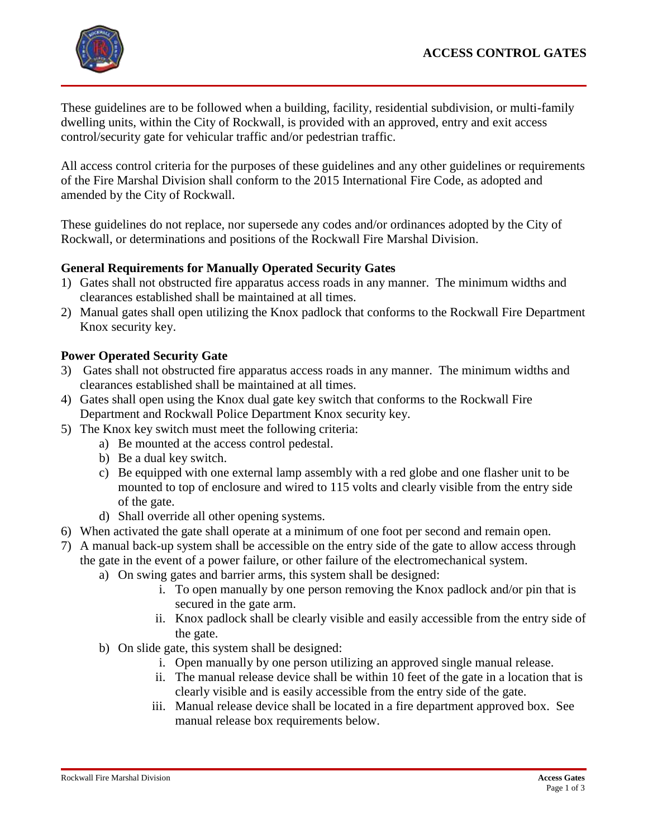## **ACCESS CONTROL GATES**



These guidelines are to be followed when a building, facility, residential subdivision, or multi-family dwelling units, within the City of Rockwall, is provided with an approved, entry and exit access control/security gate for vehicular traffic and/or pedestrian traffic.

All access control criteria for the purposes of these guidelines and any other guidelines or requirements of the Fire Marshal Division shall conform to the 2015 International Fire Code, as adopted and amended by the City of Rockwall.

These guidelines do not replace, nor supersede any codes and/or ordinances adopted by the City of Rockwall, or determinations and positions of the Rockwall Fire Marshal Division.

## **General Requirements for Manually Operated Security Gates**

- 1) Gates shall not obstructed fire apparatus access roads in any manner. The minimum widths and clearances established shall be maintained at all times.
- 2) Manual gates shall open utilizing the Knox padlock that conforms to the Rockwall Fire Department Knox security key.

### **Power Operated Security Gate**

- 3) Gates shall not obstructed fire apparatus access roads in any manner. The minimum widths and clearances established shall be maintained at all times.
- 4) Gates shall open using the Knox dual gate key switch that conforms to the Rockwall Fire Department and Rockwall Police Department Knox security key.
- 5) The Knox key switch must meet the following criteria:
	- a) Be mounted at the access control pedestal.
		- b) Be a dual key switch.
		- c) Be equipped with one external lamp assembly with a red globe and one flasher unit to be mounted to top of enclosure and wired to 115 volts and clearly visible from the entry side of the gate.
		- d) Shall override all other opening systems.
- 6) When activated the gate shall operate at a minimum of one foot per second and remain open.
- 7) A manual back-up system shall be accessible on the entry side of the gate to allow access through the gate in the event of a power failure, or other failure of the electromechanical system.
	- a) On swing gates and barrier arms, this system shall be designed:
		- i. To open manually by one person removing the Knox padlock and/or pin that is secured in the gate arm.
		- ii. Knox padlock shall be clearly visible and easily accessible from the entry side of the gate.
	- b) On slide gate, this system shall be designed:
		- i. Open manually by one person utilizing an approved single manual release.
		- ii. The manual release device shall be within 10 feet of the gate in a location that is clearly visible and is easily accessible from the entry side of the gate.
		- iii. Manual release device shall be located in a fire department approved box. See manual release box requirements below.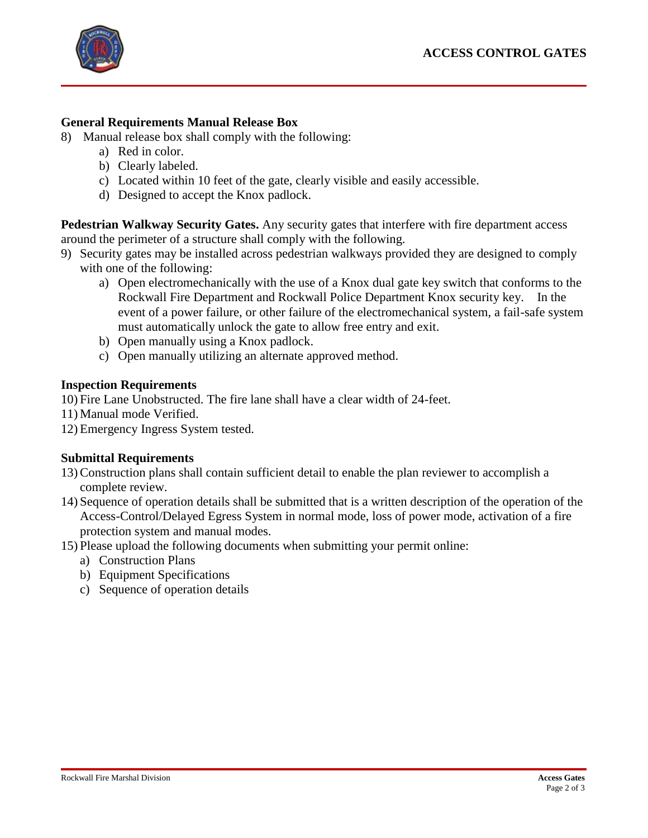

## **General Requirements Manual Release Box**

- 8) Manual release box shall comply with the following:
	- a) Red in color.
	- b) Clearly labeled.
	- c) Located within 10 feet of the gate, clearly visible and easily accessible.
	- d) Designed to accept the Knox padlock.

**Pedestrian Walkway Security Gates.** Any security gates that interfere with fire department access around the perimeter of a structure shall comply with the following.

- 9) Security gates may be installed across pedestrian walkways provided they are designed to comply with one of the following:
	- a) Open electromechanically with the use of a Knox dual gate key switch that conforms to the Rockwall Fire Department and Rockwall Police Department Knox security key. In the event of a power failure, or other failure of the electromechanical system, a fail-safe system must automatically unlock the gate to allow free entry and exit.
	- b) Open manually using a Knox padlock.
	- c) Open manually utilizing an alternate approved method.

### **Inspection Requirements**

- 10) Fire Lane Unobstructed. The fire lane shall have a clear width of 24-feet.
- 11) Manual mode Verified.
- 12) Emergency Ingress System tested.

#### **Submittal Requirements**

- 13) Construction plans shall contain sufficient detail to enable the plan reviewer to accomplish a complete review.
- 14) Sequence of operation details shall be submitted that is a written description of the operation of the Access-Control/Delayed Egress System in normal mode, loss of power mode, activation of a fire protection system and manual modes.
- 15) Please upload the following documents when submitting your permit online:
	- a) Construction Plans
	- b) Equipment Specifications
	- c) Sequence of operation details